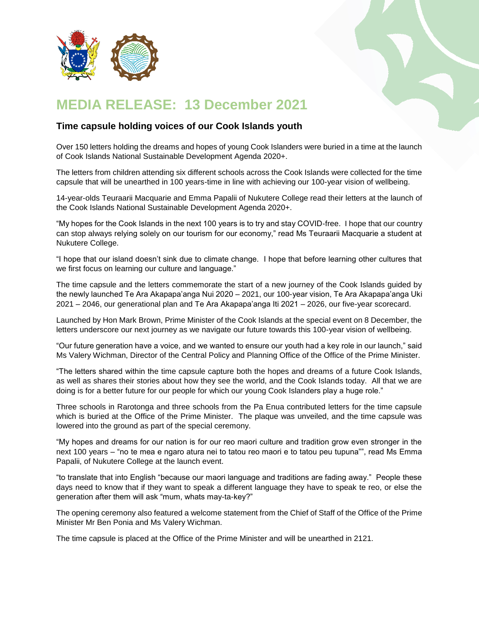

## **MEDIA RELEASE: 13 December 2021**

## **Time capsule holding voices of our Cook Islands youth**

Over 150 letters holding the dreams and hopes of young Cook Islanders were buried in a time at the launch of Cook Islands National Sustainable Development Agenda 2020+.

The letters from children attending six different schools across the Cook Islands were collected for the time capsule that will be unearthed in 100 years-time in line with achieving our 100-year vision of wellbeing.

14-year-olds Teuraarii Macquarie and Emma Papalii of Nukutere College read their letters at the launch of the Cook Islands National Sustainable Development Agenda 2020+.

"My hopes for the Cook Islands in the next 100 years is to try and stay COVID-free. I hope that our country can stop always relying solely on our tourism for our economy," read Ms Teuraarii Macquarie a student at Nukutere College.

"I hope that our island doesn't sink due to climate change. I hope that before learning other cultures that we first focus on learning our culture and language."

The time capsule and the letters commemorate the start of a new journey of the Cook Islands guided by the newly launched Te Ara Akapapa'anga Nui 2020 – 2021, our 100-year vision, Te Ara Akapapa'anga Uki 2021 – 2046, our generational plan and Te Ara Akapapa'anga Iti 2021 – 2026, our five-year scorecard.

Launched by Hon Mark Brown, Prime Minister of the Cook Islands at the special event on 8 December, the letters underscore our next journey as we navigate our future towards this 100-year vision of wellbeing.

"Our future generation have a voice, and we wanted to ensure our youth had a key role in our launch," said Ms Valery Wichman, Director of the Central Policy and Planning Office of the Office of the Prime Minister.

"The letters shared within the time capsule capture both the hopes and dreams of a future Cook Islands, as well as shares their stories about how they see the world, and the Cook Islands today. All that we are doing is for a better future for our people for which our young Cook Islanders play a huge role."

Three schools in Rarotonga and three schools from the Pa Enua contributed letters for the time capsule which is buried at the Office of the Prime Minister. The plaque was unveiled, and the time capsule was lowered into the ground as part of the special ceremony.

"My hopes and dreams for our nation is for our reo maori culture and tradition grow even stronger in the next 100 years – "no te mea e ngaro atura nei to tatou reo maori e to tatou peu tupuna"", read Ms Emma Papalii, of Nukutere College at the launch event.

"to translate that into English "because our maori language and traditions are fading away." People these days need to know that if they want to speak a different language they have to speak te reo, or else the generation after them will ask "mum, whats may-ta-key?"

The opening ceremony also featured a welcome statement from the Chief of Staff of the Office of the Prime Minister Mr Ben Ponia and Ms Valery Wichman.

The time capsule is placed at the Office of the Prime Minister and will be unearthed in 2121.